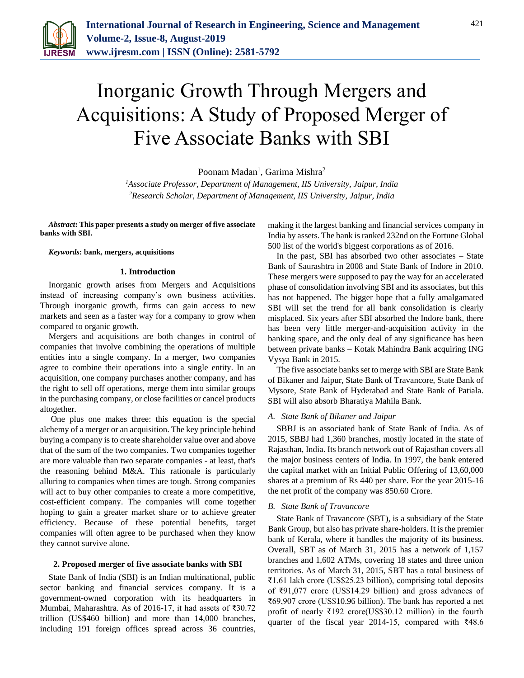

# Inorganic Growth Through Mergers and Acquisitions: A Study of Proposed Merger of Five Associate Banks with SBI

Poonam Madan<sup>1</sup>, Garima Mishra<sup>2</sup>

*<sup>1</sup>Associate Professor, Department of Management, IIS University, Jaipur, India 2Research Scholar, Department of Management, IIS University, Jaipur, India*

*Abstract***: This paper presents a study on merger of five associate banks with SBI.**

#### *Keywords***: bank, mergers, acquisitions**

#### **1. Introduction**

Inorganic growth arises from Mergers and Acquisitions instead of increasing company's own business activities. Through inorganic growth, firms can gain access to new markets and seen as a faster way for a company to grow when compared to organic growth.

Mergers and acquisitions are both changes in control of companies that involve combining the operations of multiple entities into a single company. In a merger, two companies agree to combine their operations into a single entity. In an acquisition, one company purchases another company, and has the right to sell off operations, merge them into similar groups in the purchasing company, or close facilities or cancel products altogether.

One plus one makes three: this equation is the special alchemy of a merger or an acquisition. The key principle behind buying a company is to create shareholder value over and above that of the sum of the two companies. Two companies together are more valuable than two separate companies - at least, that's the reasoning behind M&A. This rationale is particularly alluring to companies when times are tough. Strong companies will act to buy other companies to create a more competitive, cost-efficient company. The companies will come together hoping to gain a greater market share or to achieve greater efficiency. Because of these potential benefits, target companies will often agree to be purchased when they know they cannot survive alone.

#### **2. Proposed merger of five associate banks with SBI**

State Bank of India (SBI) is an Indian multinational, public sector banking and financial services company. It is a government-owned corporation with its headquarters in Mumbai, Maharashtra. As of 2016-17, it had assets of ₹30.72 trillion (US\$460 billion) and more than 14,000 branches, including 191 foreign offices spread across 36 countries,

making it the largest banking and financial services company in India by assets. The bank is ranked 232nd on the Fortune Global 500 list of the world's biggest corporations as of 2016.

In the past, SBI has absorbed two other associates – State Bank of Saurashtra in 2008 and State Bank of Indore in 2010. These mergers were supposed to pay the way for an accelerated phase of consolidation involving SBI and its associates, but this has not happened. The bigger hope that a fully amalgamated SBI will set the trend for all bank consolidation is clearly misplaced. Six years after SBI absorbed the Indore bank, there has been very little merger-and-acquisition activity in the banking space, and the only deal of any significance has been between private banks – Kotak Mahindra Bank acquiring ING Vysya Bank in 2015.

The five associate banks set to merge with SBI are State Bank of Bikaner and Jaipur, State Bank of Travancore, State Bank of Mysore, State Bank of Hyderabad and State Bank of Patiala. SBI will also absorb Bharatiya Mahila Bank.

## *A. State Bank of Bikaner and Jaipur*

SBBJ is an associated bank of State Bank of India. As of 2015, SBBJ had 1,360 branches, mostly located in the state of Rajasthan, India. Its branch network out of Rajasthan covers all the major business centers of India. In 1997, the bank entered the capital market with an Initial Public Offering of 13,60,000 shares at a premium of Rs 440 per share. For the year 2015-16 the net profit of the company was 850.60 Crore.

#### *B. State Bank of Travancore*

State Bank of Travancore (SBT), is a subsidiary of the State Bank Group, but also has private share-holders. It is the premier bank of Kerala, where it handles the majority of its business. Overall, SBT as of March 31, 2015 has a network of 1,157 branches and 1,602 ATMs, covering 18 states and three union territories. As of March 31, 2015, SBT has a total business of ₹1.61 lakh crore (US\$25.23 billion), comprising total deposits of ₹91,077 crore (US\$14.29 billion) and gross advances of ₹69,907 crore (US\$10.96 billion). The bank has reported a net profit of nearly ₹192 crore(US\$30.12 million) in the fourth quarter of the fiscal year 2014-15, compared with ₹48.6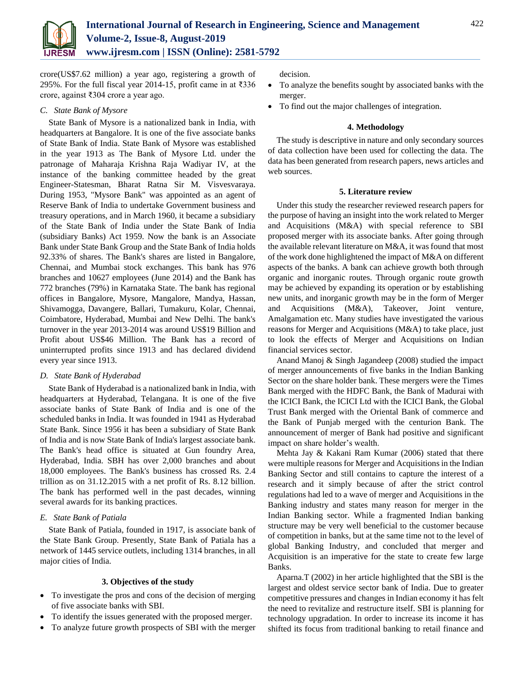

crore(US\$7.62 million) a year ago, registering a growth of 295%. For the full fiscal year 2014-15, profit came in at ₹336 crore, against ₹304 crore a year ago.

# *C. State Bank of Mysore*

State Bank of Mysore is a nationalized bank in India, with headquarters at Bangalore. It is one of the five associate banks of State Bank of India. State Bank of Mysore was established in the year 1913 as The Bank of Mysore Ltd. under the patronage of Maharaja Krishna Raja Wadiyar IV, at the instance of the banking committee headed by the great Engineer-Statesman, Bharat Ratna Sir M. Visvesvaraya. During 1953, "Mysore Bank" was appointed as an agent of Reserve Bank of India to undertake Government business and treasury operations, and in March 1960, it became a subsidiary of the State Bank of India under the State Bank of India (subsidiary Banks) Act 1959. Now the bank is an Associate Bank under State Bank Group and the State Bank of India holds 92.33% of shares. The Bank's shares are listed in Bangalore, Chennai, and Mumbai stock exchanges. This bank has 976 branches and 10627 employees (June 2014) and the Bank has 772 branches (79%) in Karnataka State. The bank has regional offices in Bangalore, Mysore, Mangalore, Mandya, Hassan, Shivamogga, Davangere, Ballari, Tumakuru, Kolar, Chennai, Coimbatore, Hyderabad, Mumbai and New Delhi. The bank's turnover in the year 2013-2014 was around US\$19 Billion and Profit about US\$46 Million. The Bank has a record of uninterrupted profits since 1913 and has declared dividend every year since 1913.

## *D. State Bank of Hyderabad*

State Bank of Hyderabad is a nationalized bank in India, with headquarters at Hyderabad, Telangana. It is one of the five associate banks of State Bank of India and is one of the scheduled banks in India. It was founded in 1941 as Hyderabad State Bank. Since 1956 it has been a subsidiary of State Bank of India and is now State Bank of India's largest associate bank. The Bank's head office is situated at Gun foundry Area, Hyderabad, India. SBH has over 2,000 branches and about 18,000 employees. The Bank's business has crossed Rs. 2.4 trillion as on 31.12.2015 with a net profit of Rs. 8.12 billion. The bank has performed well in the past decades, winning several awards for its banking practices.

# *E. State Bank of Patiala*

State Bank of Patiala, founded in 1917, is associate bank of the State Bank Group. Presently, State Bank of Patiala has a network of 1445 service outlets, including 1314 branches, in all major cities of India.

## **3. Objectives of the study**

- To investigate the pros and cons of the decision of merging of five associate banks with SBI.
- To identify the issues generated with the proposed merger.
- To analyze future growth prospects of SBI with the merger

decision.

- To analyze the benefits sought by associated banks with the merger.
- To find out the major challenges of integration.

## **4. Methodology**

The study is descriptive in nature and only secondary sources of data collection have been used for collecting the data. The data has been generated from research papers, news articles and web sources.

#### **5. Literature review**

Under this study the researcher reviewed research papers for the purpose of having an insight into the work related to Merger and Acquisitions (M&A) with special reference to SBI proposed merger with its associate banks. After going through the available relevant literature on M&A, it was found that most of the work done highlightened the impact of M&A on different aspects of the banks. A bank can achieve growth both through organic and inorganic routes. Through organic route growth may be achieved by expanding its operation or by establishing new units, and inorganic growth may be in the form of Merger and Acquisitions (M&A), Takeover, Joint venture, Amalgamation etc. Many studies have investigated the various reasons for Merger and Acquisitions (M&A) to take place, just to look the effects of Merger and Acquisitions on Indian financial services sector.

Anand Manoj & Singh Jagandeep (2008) studied the impact of merger announcements of five banks in the Indian Banking Sector on the share holder bank. These mergers were the Times Bank merged with the HDFC Bank, the Bank of Madurai with the ICICI Bank, the ICICI Ltd with the ICICI Bank, the Global Trust Bank merged with the Oriental Bank of commerce and the Bank of Punjab merged with the centurion Bank. The announcement of merger of Bank had positive and significant impact on share holder's wealth.

Mehta Jay & Kakani Ram Kumar (2006) stated that there were multiple reasons for Merger and Acquisitions in the Indian Banking Sector and still contains to capture the interest of a research and it simply because of after the strict control regulations had led to a wave of merger and Acquisitions in the Banking industry and states many reason for merger in the Indian Banking sector. While a fragmented Indian banking structure may be very well beneficial to the customer because of competition in banks, but at the same time not to the level of global Banking Industry, and concluded that merger and Acquisition is an imperative for the state to create few large Banks.

Aparna.T (2002) in her article highlighted that the SBI is the largest and oldest service sector bank of India. Due to greater competitive pressures and changes in Indian economy it has felt the need to revitalize and restructure itself. SBI is planning for technology upgradation. In order to increase its income it has shifted its focus from traditional banking to retail finance and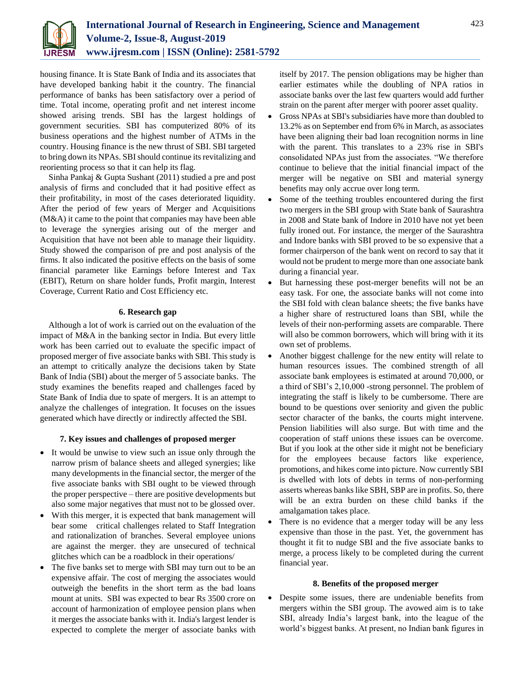

housing finance. It is State Bank of India and its associates that have developed banking habit it the country. The financial performance of banks has been satisfactory over a period of time. Total income, operating profit and net interest income showed arising trends. SBI has the largest holdings of government securities. SBI has computerized 80% of its business operations and the highest number of ATMs in the country. Housing finance is the new thrust of SBI. SBI targeted to bring down its NPAs. SBI should continue its revitalizing and reorienting process so that it can help its flag.

Sinha Pankaj & Gupta Sushant (2011) studied a pre and post analysis of firms and concluded that it had positive effect as their profitability, in most of the cases deteriorated liquidity. After the period of few years of Merger and Acquisitions (M&A) it came to the point that companies may have been able to leverage the synergies arising out of the merger and Acquisition that have not been able to manage their liquidity. Study showed the comparison of pre and post analysis of the firms. It also indicated the positive effects on the basis of some financial parameter like Earnings before Interest and Tax (EBIT), Return on share holder funds, Profit margin, Interest Coverage, Current Ratio and Cost Efficiency etc.

# **6. Research gap**

Although a lot of work is carried out on the evaluation of the impact of M&A in the banking sector in India. But every little work has been carried out to evaluate the specific impact of proposed merger of five associate banks with SBI. This study is an attempt to critically analyze the decisions taken by State Bank of India (SBI) about the merger of 5 associate banks. The study examines the benefits reaped and challenges faced by State Bank of India due to spate of mergers. It is an attempt to analyze the challenges of integration. It focuses on the issues generated which have directly or indirectly affected the SBI.

# **7. Key issues and challenges of proposed merger**

- It would be unwise to view such an issue only through the narrow prism of balance sheets and alleged synergies; like many developments in the financial sector, the merger of the five associate banks with SBI ought to be viewed through the proper perspective – there are positive developments but also some major negatives that must not to be glossed over.
- With this merger, it is expected that bank management will bear some critical challenges related to Staff Integration and rationalization of branches. Several employee unions are against the merger. they are unsecured of technical glitches which can be a roadblock in their operations/
- The five banks set to merge with SBI may turn out to be an expensive affair. The cost of merging the associates would outweigh the benefits in the short term as the bad loans mount at units. SBI was expected to bear Rs 3500 crore on account of harmonization of employee pension plans when it merges the associate banks with it. India's largest lender is expected to complete the merger of associate banks with

itself by 2017. The pension obligations may be higher than earlier estimates while the doubling of NPA ratios in associate banks over the last few quarters would add further strain on the parent after merger with poorer asset quality.

- Gross NPAs at SBI's subsidiaries have more than doubled to 13.2% as on September end from 6% in March, as associates have been aligning their bad loan recognition norms in line with the parent. This translates to a 23% rise in SBI's consolidated NPAs just from the associates. "We therefore continue to believe that the initial financial impact of the merger will be negative on SBI and material synergy benefits may only accrue over long term.
- Some of the teething troubles encountered during the first two mergers in the SBI group with State bank of Saurashtra in 2008 and State bank of Indore in 2010 have not yet been fully ironed out. For instance, the merger of the Saurashtra and Indore banks with SBI proved to be so expensive that a former chairperson of the bank went on record to say that it would not be prudent to merge more than one associate bank during a financial year.
- But harnessing these post-merger benefits will not be an easy task. For one, the associate banks will not come into the SBI fold with clean balance sheets; the five banks have a higher share of restructured loans than SBI, while the levels of their non-performing assets are comparable. There will also be common borrowers, which will bring with it its own set of problems.
- Another biggest challenge for the new entity will relate to human resources issues. The combined strength of all associate bank employees is estimated at around 70,000, or a third of SBI's 2,10,000 -strong personnel. The problem of integrating the staff is likely to be cumbersome. There are bound to be questions over seniority and given the public sector character of the banks, the courts might intervene. Pension liabilities will also surge. But with time and the cooperation of staff unions these issues can be overcome. But if you look at the other side it might not be beneficiary for the employees because factors like experience, promotions, and hikes come into picture. Now currently SBI is dwelled with lots of debts in terms of non-performing asserts whereas banks like SBH, SBP are in profits. So, there will be an extra burden on these child banks if the amalgamation takes place.
- There is no evidence that a merger today will be any less expensive than those in the past. Yet, the government has thought it fit to nudge SBI and the five associate banks to merge, a process likely to be completed during the current financial year.

## **8. Benefits of the proposed merger**

 Despite some issues, there are undeniable benefits from mergers within the SBI group. The avowed aim is to take SBI, already India's largest bank, into the league of the world's biggest banks. At present, no Indian bank figures in